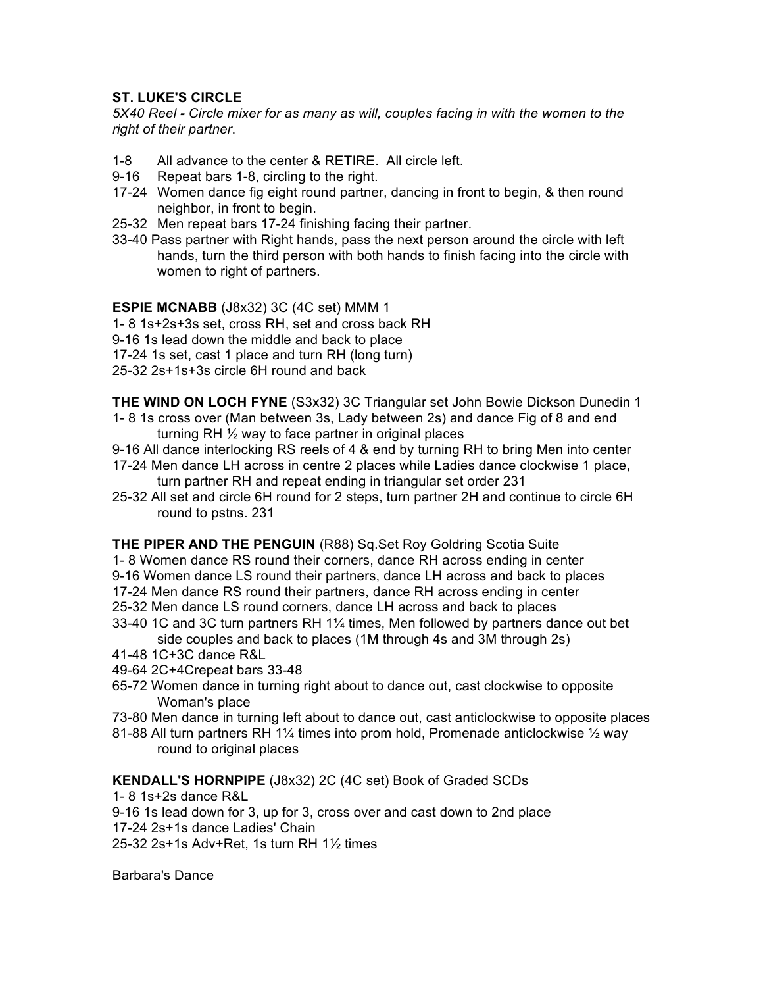## **ST. LUKE'S CIRCLE**

*5X40 Reel - Circle mixer for as many as will, couples facing in with the women to the right of their partner*.

- 1-8 All advance to the center & RETIRE. All circle left.
- 9-16 Repeat bars 1-8, circling to the right.
- 17-24 Women dance fig eight round partner, dancing in front to begin, & then round neighbor, in front to begin.
- 25-32 Men repeat bars 17-24 finishing facing their partner.
- 33-40 Pass partner with Right hands, pass the next person around the circle with left hands, turn the third person with both hands to finish facing into the circle with women to right of partners.

## **ESPIE MCNABB** (J8x32) 3C (4C set) MMM 1

- 1- 8 1s+2s+3s set, cross RH, set and cross back RH
- 9-16 1s lead down the middle and back to place
- 17-24 1s set, cast 1 place and turn RH (long turn)
- 25-32 2s+1s+3s circle 6H round and back

**THE WIND ON LOCH FYNE** (S3x32) 3C Triangular set John Bowie Dickson Dunedin 1

- 1- 8 1s cross over (Man between 3s, Lady between 2s) and dance Fig of 8 and end turning RH ½ way to face partner in original places
- 9-16 All dance interlocking RS reels of 4 & end by turning RH to bring Men into center
- 17-24 Men dance LH across in centre 2 places while Ladies dance clockwise 1 place, turn partner RH and repeat ending in triangular set order 231
- 25-32 All set and circle 6H round for 2 steps, turn partner 2H and continue to circle 6H round to pstns. 231

**THE PIPER AND THE PENGUIN** (R88) Sq.Set Roy Goldring Scotia Suite

- 1- 8 Women dance RS round their corners, dance RH across ending in center
- 9-16 Women dance LS round their partners, dance LH across and back to places
- 17-24 Men dance RS round their partners, dance RH across ending in center
- 25-32 Men dance LS round corners, dance LH across and back to places
- 33-40 1C and 3C turn partners RH 1¼ times, Men followed by partners dance out bet side couples and back to places (1M through 4s and 3M through 2s)
- 41-48 1C+3C dance R&L
- 49-64 2C+4Crepeat bars 33-48
- 65-72 Women dance in turning right about to dance out, cast clockwise to opposite Woman's place
- 73-80 Men dance in turning left about to dance out, cast anticlockwise to opposite places
- 81-88 All turn partners RH 11/4 times into prom hold, Promenade anticlockwise  $\frac{1}{2}$  way round to original places

## **KENDALL'S HORNPIPE** (J8x32) 2C (4C set) Book of Graded SCDs

- 1- 8 1s+2s dance R&L
- 9-16 1s lead down for 3, up for 3, cross over and cast down to 2nd place
- 17-24 2s+1s dance Ladies' Chain

25-32 2s+1s Adv+Ret, 1s turn RH 1½ times

Barbara's Dance